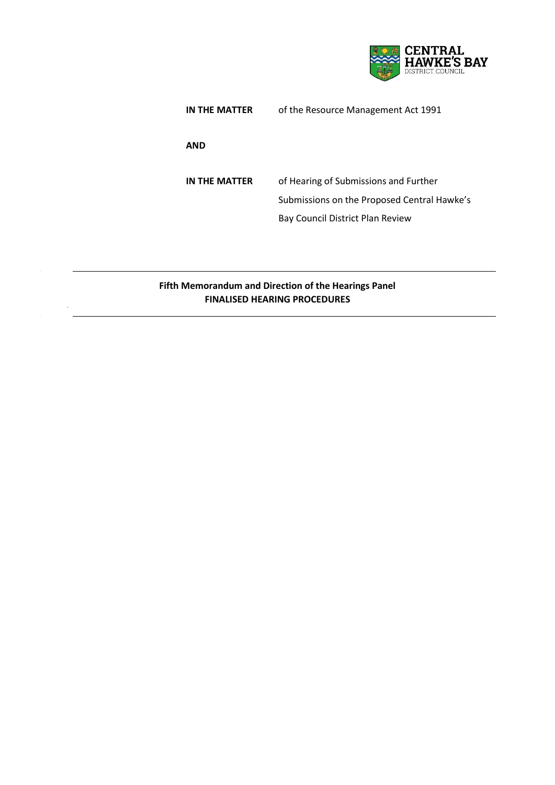

| IN THE MATTER | of the Resource Management Act 1991                                                                                      |
|---------------|--------------------------------------------------------------------------------------------------------------------------|
| <b>AND</b>    |                                                                                                                          |
| IN THE MATTER | of Hearing of Submissions and Further<br>Submissions on the Proposed Central Hawke's<br>Bay Council District Plan Review |

## **Fifth Memorandum and Direction of the Hearings Panel FINALISED HEARING PROCEDURES**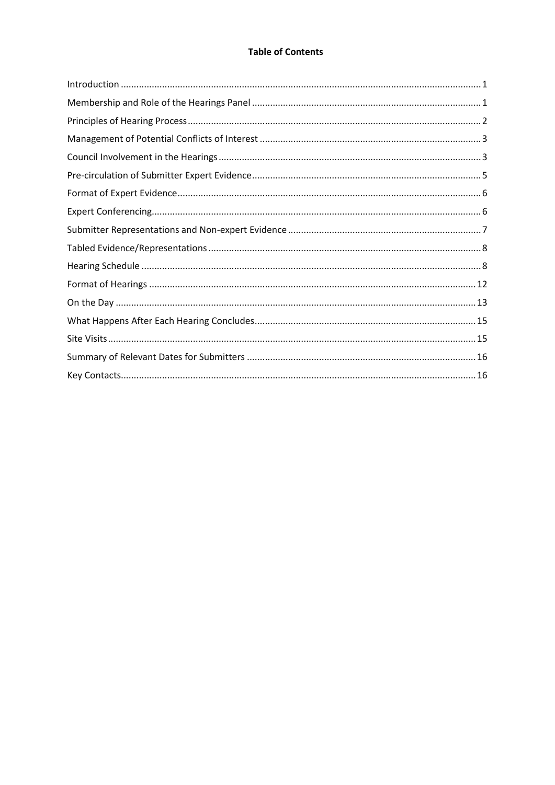## **Table of Contents**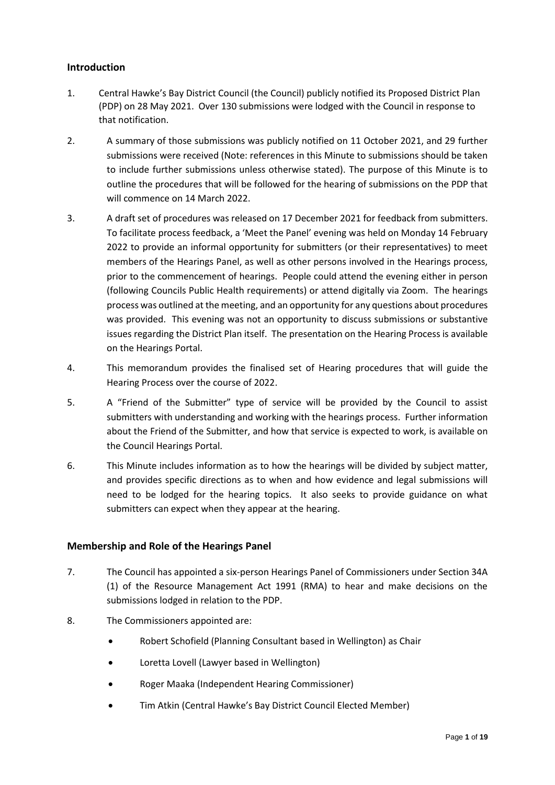## <span id="page-2-0"></span>**Introduction**

- 1. Central Hawke's Bay District Council (the Council) publicly notified its Proposed District Plan (PDP) on 28 May 2021. Over 130 submissions were lodged with the Council in response to that notification.
- 2. A summary of those submissions was publicly notified on 11 October 2021, and 29 further submissions were received (Note: references in this Minute to submissions should be taken to include further submissions unless otherwise stated). The purpose of this Minute is to outline the procedures that will be followed for the hearing of submissions on the PDP that will commence on 14 March 2022.
- 3. A draft set of procedures was released on 17 December 2021 for feedback from submitters. To facilitate process feedback, a 'Meet the Panel' evening was held on Monday 14 February 2022 to provide an informal opportunity for submitters (or their representatives) to meet members of the Hearings Panel, as well as other persons involved in the Hearings process, prior to the commencement of hearings. People could attend the evening either in person (following Councils Public Health requirements) or attend digitally via Zoom. The hearings process was outlined at the meeting, and an opportunity for any questions about procedures was provided. This evening was not an opportunity to discuss submissions or substantive issues regarding the District Plan itself. The presentation on the Hearing Process is available on the Hearings Portal.
- 4. This memorandum provides the finalised set of Hearing procedures that will guide the Hearing Process over the course of 2022.
- 5. A "Friend of the Submitter" type of service will be provided by the Council to assist submitters with understanding and working with the hearings process. Further information about the Friend of the Submitter, and how that service is expected to work, is available on the Council Hearings Portal.
- 6. This Minute includes information as to how the hearings will be divided by subject matter, and provides specific directions as to when and how evidence and legal submissions will need to be lodged for the hearing topics. It also seeks to provide guidance on what submitters can expect when they appear at the hearing.

#### <span id="page-2-1"></span>**Membership and Role of the Hearings Panel**

- 7. The Council has appointed a six-person Hearings Panel of Commissioners under Section 34A (1) of the Resource Management Act 1991 (RMA) to hear and make decisions on the submissions lodged in relation to the PDP.
- 8. The Commissioners appointed are:
	- Robert Schofield (Planning Consultant based in Wellington) as Chair
	- Loretta Lovell (Lawyer based in Wellington)
	- Roger Maaka (Independent Hearing Commissioner)
	- Tim Atkin (Central Hawke's Bay District Council Elected Member)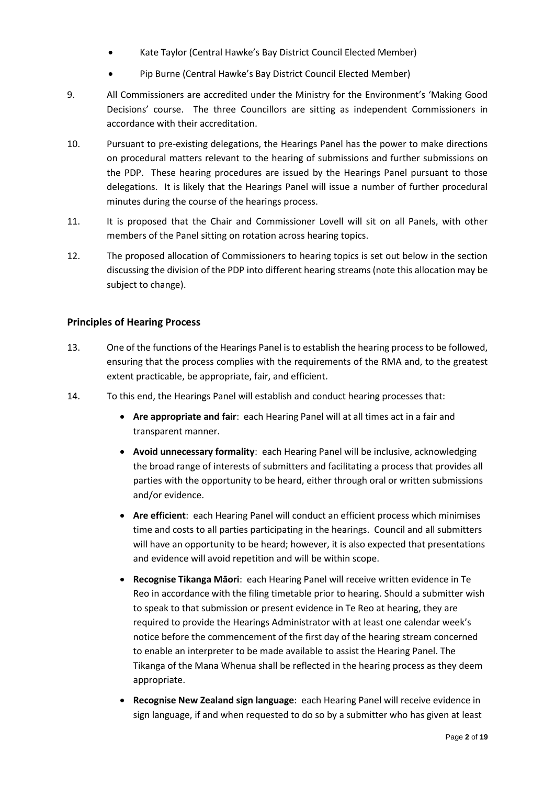- Kate Taylor (Central Hawke's Bay District Council Elected Member)
- Pip Burne (Central Hawke's Bay District Council Elected Member)
- 9. All Commissioners are accredited under the Ministry for the Environment's 'Making Good Decisions' course. The three Councillors are sitting as independent Commissioners in accordance with their accreditation.
- 10. Pursuant to pre-existing delegations, the Hearings Panel has the power to make directions on procedural matters relevant to the hearing of submissions and further submissions on the PDP. These hearing procedures are issued by the Hearings Panel pursuant to those delegations. It is likely that the Hearings Panel will issue a number of further procedural minutes during the course of the hearings process.
- 11. It is proposed that the Chair and Commissioner Lovell will sit on all Panels, with other members of the Panel sitting on rotation across hearing topics.
- 12. The proposed allocation of Commissioners to hearing topics is set out below in the section discussing the division of the PDP into different hearing streams (note this allocation may be subject to change).

#### <span id="page-3-0"></span>**Principles of Hearing Process**

- 13. One of the functions of the Hearings Panel is to establish the hearing process to be followed, ensuring that the process complies with the requirements of the RMA and, to the greatest extent practicable, be appropriate, fair, and efficient.
- 14. To this end, the Hearings Panel will establish and conduct hearing processes that:
	- **Are appropriate and fair**: each Hearing Panel will at all times act in a fair and transparent manner.
	- **Avoid unnecessary formality**: each Hearing Panel will be inclusive, acknowledging the broad range of interests of submitters and facilitating a process that provides all parties with the opportunity to be heard, either through oral or written submissions and/or evidence.
	- **Are efficient**: each Hearing Panel will conduct an efficient process which minimises time and costs to all parties participating in the hearings. Council and all submitters will have an opportunity to be heard; however, it is also expected that presentations and evidence will avoid repetition and will be within scope.
	- **Recognise Tikanga Māori**: each Hearing Panel will receive written evidence in Te Reo in accordance with the filing timetable prior to hearing. Should a submitter wish to speak to that submission or present evidence in Te Reo at hearing, they are required to provide the Hearings Administrator with at least one calendar week's notice before the commencement of the first day of the hearing stream concerned to enable an interpreter to be made available to assist the Hearing Panel. The Tikanga of the Mana Whenua shall be reflected in the hearing process as they deem appropriate.
	- **Recognise New Zealand sign language**: each Hearing Panel will receive evidence in sign language, if and when requested to do so by a submitter who has given at least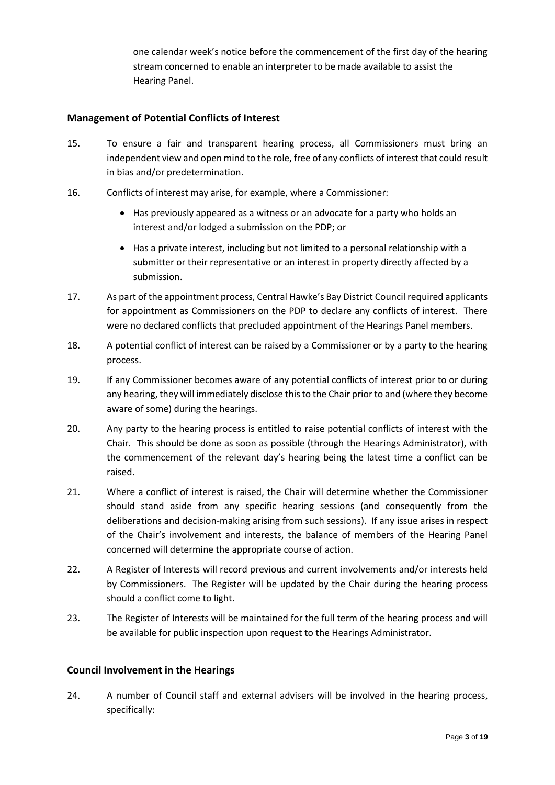one calendar week's notice before the commencement of the first day of the hearing stream concerned to enable an interpreter to be made available to assist the Hearing Panel.

## <span id="page-4-0"></span>**Management of Potential Conflicts of Interest**

- 15. To ensure a fair and transparent hearing process, all Commissioners must bring an independent view and open mind to the role, free of any conflicts of interest that could result in bias and/or predetermination.
- 16. Conflicts of interest may arise, for example, where a Commissioner:
	- Has previously appeared as a witness or an advocate for a party who holds an interest and/or lodged a submission on the PDP; or
	- Has a private interest, including but not limited to a personal relationship with a submitter or their representative or an interest in property directly affected by a submission.
- 17. As part of the appointment process, Central Hawke's Bay District Council required applicants for appointment as Commissioners on the PDP to declare any conflicts of interest. There were no declared conflicts that precluded appointment of the Hearings Panel members.
- 18. A potential conflict of interest can be raised by a Commissioner or by a party to the hearing process.
- 19. If any Commissioner becomes aware of any potential conflicts of interest prior to or during any hearing, they will immediately disclose this to the Chair prior to and (where they become aware of some) during the hearings.
- 20. Any party to the hearing process is entitled to raise potential conflicts of interest with the Chair. This should be done as soon as possible (through the Hearings Administrator), with the commencement of the relevant day's hearing being the latest time a conflict can be raised.
- 21. Where a conflict of interest is raised, the Chair will determine whether the Commissioner should stand aside from any specific hearing sessions (and consequently from the deliberations and decision-making arising from such sessions). If any issue arises in respect of the Chair's involvement and interests, the balance of members of the Hearing Panel concerned will determine the appropriate course of action.
- 22. A Register of Interests will record previous and current involvements and/or interests held by Commissioners. The Register will be updated by the Chair during the hearing process should a conflict come to light.
- 23. The Register of Interests will be maintained for the full term of the hearing process and will be available for public inspection upon request to the Hearings Administrator.

## <span id="page-4-1"></span>**Council Involvement in the Hearings**

24. A number of Council staff and external advisers will be involved in the hearing process, specifically: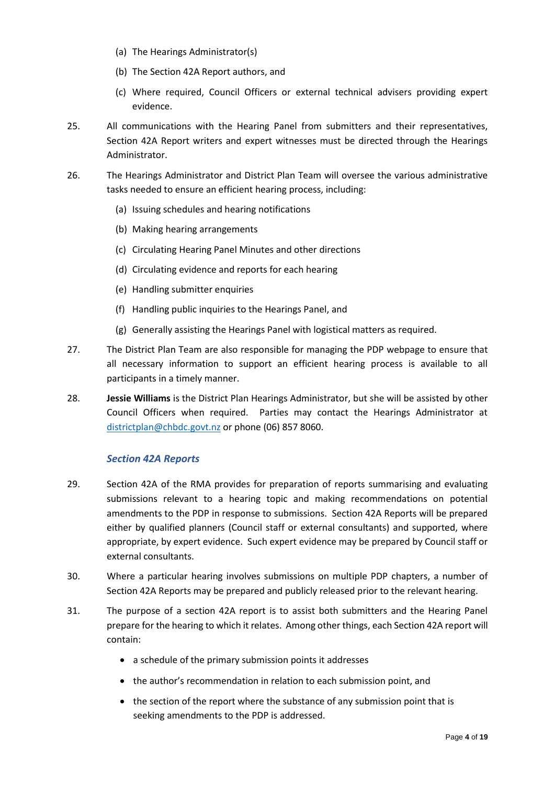- (a) The Hearings Administrator(s)
- (b) The Section 42A Report authors, and
- (c) Where required, Council Officers or external technical advisers providing expert evidence.
- 25. All communications with the Hearing Panel from submitters and their representatives, Section 42A Report writers and expert witnesses must be directed through the Hearings Administrator.
- 26. The Hearings Administrator and District Plan Team will oversee the various administrative tasks needed to ensure an efficient hearing process, including:
	- (a) Issuing schedules and hearing notifications
	- (b) Making hearing arrangements
	- (c) Circulating Hearing Panel Minutes and other directions
	- (d) Circulating evidence and reports for each hearing
	- (e) Handling submitter enquiries
	- (f) Handling public inquiries to the Hearings Panel, and
	- (g) Generally assisting the Hearings Panel with logistical matters as required.
- 27. The District Plan Team are also responsible for managing the PDP webpage to ensure that all necessary information to support an efficient hearing process is available to all participants in a timely manner.
- 28. **Jessie Williams** is the District Plan Hearings Administrator, but she will be assisted by other Council Officers when required. Parties may contact the Hearings Administrator at [districtplan@chbdc.govt.nz](mailto:districtplan@chbdc.govt.nz) or phone (06) 857 8060.

#### *Section 42A Reports*

- 29. Section 42A of the RMA provides for preparation of reports summarising and evaluating submissions relevant to a hearing topic and making recommendations on potential amendments to the PDP in response to submissions. Section 42A Reports will be prepared either by qualified planners (Council staff or external consultants) and supported, where appropriate, by expert evidence. Such expert evidence may be prepared by Council staff or external consultants.
- 30. Where a particular hearing involves submissions on multiple PDP chapters, a number of Section 42A Reports may be prepared and publicly released prior to the relevant hearing.
- 31. The purpose of a section 42A report is to assist both submitters and the Hearing Panel prepare for the hearing to which it relates. Among other things, each Section 42A report will contain:
	- a schedule of the primary submission points it addresses
	- the author's recommendation in relation to each submission point, and
	- the section of the report where the substance of any submission point that is seeking amendments to the PDP is addressed.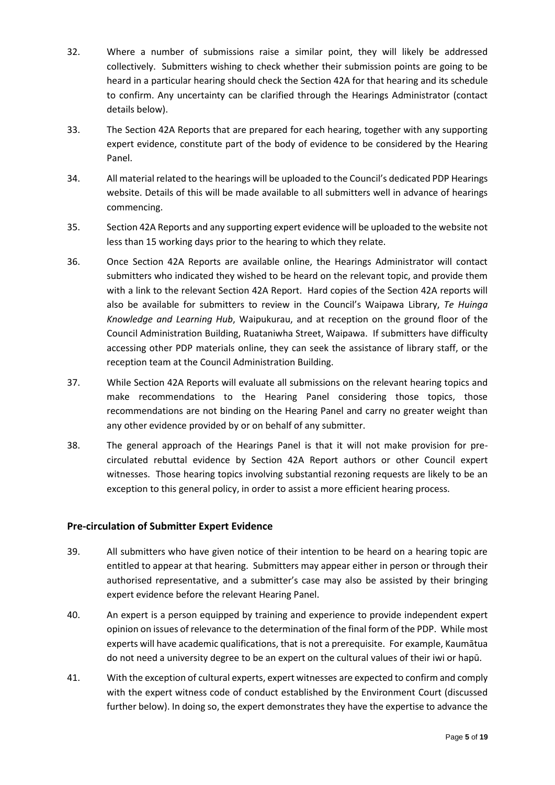- 32. Where a number of submissions raise a similar point, they will likely be addressed collectively. Submitters wishing to check whether their submission points are going to be heard in a particular hearing should check the Section 42A for that hearing and its schedule to confirm. Any uncertainty can be clarified through the Hearings Administrator (contact details below).
- 33. The Section 42A Reports that are prepared for each hearing, together with any supporting expert evidence, constitute part of the body of evidence to be considered by the Hearing Panel.
- 34. All material related to the hearings will be uploaded to the Council's dedicated PDP Hearings website. Details of this will be made available to all submitters well in advance of hearings commencing.
- 35. Section 42A Reports and any supporting expert evidence will be uploaded to the website not less than 15 working days prior to the hearing to which they relate.
- 36. Once Section 42A Reports are available online, the Hearings Administrator will contact submitters who indicated they wished to be heard on the relevant topic, and provide them with a link to the relevant Section 42A Report. Hard copies of the Section 42A reports will also be available for submitters to review in the Council's Waipawa Library, *Te Huinga Knowledge and Learning Hub*, Waipukurau, and at reception on the ground floor of the Council Administration Building, Ruataniwha Street, Waipawa. If submitters have difficulty accessing other PDP materials online, they can seek the assistance of library staff, or the reception team at the Council Administration Building.
- 37. While Section 42A Reports will evaluate all submissions on the relevant hearing topics and make recommendations to the Hearing Panel considering those topics, those recommendations are not binding on the Hearing Panel and carry no greater weight than any other evidence provided by or on behalf of any submitter.
- 38. The general approach of the Hearings Panel is that it will not make provision for precirculated rebuttal evidence by Section 42A Report authors or other Council expert witnesses. Those hearing topics involving substantial rezoning requests are likely to be an exception to this general policy, in order to assist a more efficient hearing process.

## <span id="page-6-0"></span>**Pre-circulation of Submitter Expert Evidence**

- 39. All submitters who have given notice of their intention to be heard on a hearing topic are entitled to appear at that hearing. Submitters may appear either in person or through their authorised representative, and a submitter's case may also be assisted by their bringing expert evidence before the relevant Hearing Panel.
- 40. An expert is a person equipped by training and experience to provide independent expert opinion on issues of relevance to the determination of the final form of the PDP. While most experts will have academic qualifications, that is not a prerequisite. For example, Kaumātua do not need a university degree to be an expert on the cultural values of their iwi or hapū.
- 41. With the exception of cultural experts, expert witnesses are expected to confirm and comply with the expert witness code of conduct established by the Environment Court (discussed further below). In doing so, the expert demonstrates they have the expertise to advance the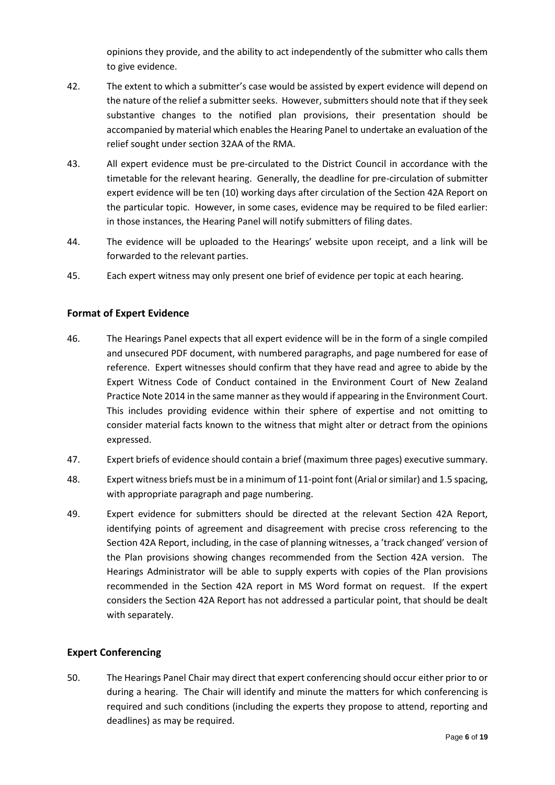opinions they provide, and the ability to act independently of the submitter who calls them to give evidence.

- 42. The extent to which a submitter's case would be assisted by expert evidence will depend on the nature of the relief a submitter seeks. However, submitters should note that if they seek substantive changes to the notified plan provisions, their presentation should be accompanied by material which enables the Hearing Panel to undertake an evaluation of the relief sought under section 32AA of the RMA.
- 43. All expert evidence must be pre-circulated to the District Council in accordance with the timetable for the relevant hearing. Generally, the deadline for pre-circulation of submitter expert evidence will be ten (10) working days after circulation of the Section 42A Report on the particular topic. However, in some cases, evidence may be required to be filed earlier: in those instances, the Hearing Panel will notify submitters of filing dates.
- 44. The evidence will be uploaded to the Hearings' website upon receipt, and a link will be forwarded to the relevant parties.
- 45. Each expert witness may only present one brief of evidence per topic at each hearing.

## <span id="page-7-0"></span>**Format of Expert Evidence**

- 46. The Hearings Panel expects that all expert evidence will be in the form of a single compiled and unsecured PDF document, with numbered paragraphs, and page numbered for ease of reference. Expert witnesses should confirm that they have read and agree to abide by the Expert Witness Code of Conduct contained in the Environment Court of New Zealand Practice Note 2014 in the same manner as they would if appearing in the Environment Court. This includes providing evidence within their sphere of expertise and not omitting to consider material facts known to the witness that might alter or detract from the opinions expressed.
- 47. Expert briefs of evidence should contain a brief (maximum three pages) executive summary.
- 48. Expert witness briefs must be in a minimum of 11-point font (Arial or similar) and 1.5 spacing, with appropriate paragraph and page numbering.
- 49. Expert evidence for submitters should be directed at the relevant Section 42A Report, identifying points of agreement and disagreement with precise cross referencing to the Section 42A Report, including, in the case of planning witnesses, a 'track changed' version of the Plan provisions showing changes recommended from the Section 42A version. The Hearings Administrator will be able to supply experts with copies of the Plan provisions recommended in the Section 42A report in MS Word format on request. If the expert considers the Section 42A Report has not addressed a particular point, that should be dealt with separately.

## <span id="page-7-1"></span>**Expert Conferencing**

50. The Hearings Panel Chair may direct that expert conferencing should occur either prior to or during a hearing. The Chair will identify and minute the matters for which conferencing is required and such conditions (including the experts they propose to attend, reporting and deadlines) as may be required.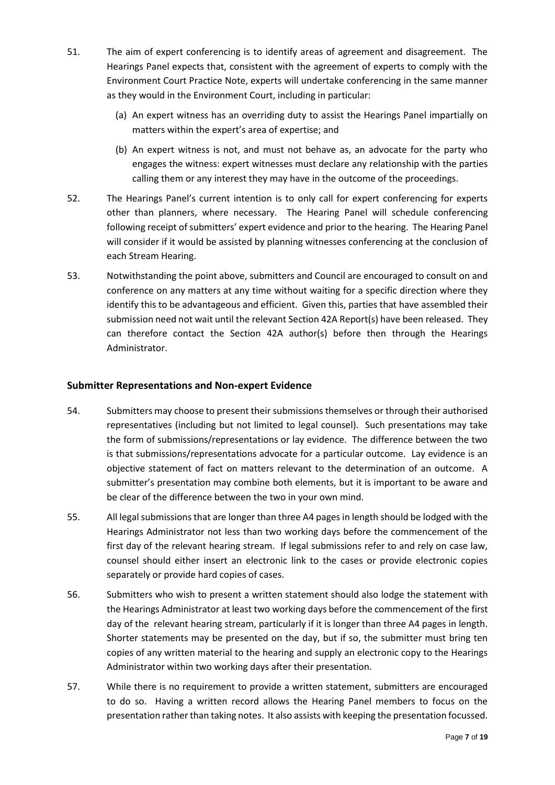- 51. The aim of expert conferencing is to identify areas of agreement and disagreement. The Hearings Panel expects that, consistent with the agreement of experts to comply with the Environment Court Practice Note, experts will undertake conferencing in the same manner as they would in the Environment Court, including in particular:
	- (a) An expert witness has an overriding duty to assist the Hearings Panel impartially on matters within the expert's area of expertise; and
	- (b) An expert witness is not, and must not behave as, an advocate for the party who engages the witness: expert witnesses must declare any relationship with the parties calling them or any interest they may have in the outcome of the proceedings.
- 52. The Hearings Panel's current intention is to only call for expert conferencing for experts other than planners, where necessary. The Hearing Panel will schedule conferencing following receipt of submitters' expert evidence and prior to the hearing. The Hearing Panel will consider if it would be assisted by planning witnesses conferencing at the conclusion of each Stream Hearing.
- 53. Notwithstanding the point above, submitters and Council are encouraged to consult on and conference on any matters at any time without waiting for a specific direction where they identify this to be advantageous and efficient. Given this, parties that have assembled their submission need not wait until the relevant Section 42A Report(s) have been released. They can therefore contact the Section 42A author(s) before then through the Hearings Administrator.

#### <span id="page-8-0"></span>**Submitter Representations and Non-expert Evidence**

- 54. Submitters may choose to present their submissions themselves or through their authorised representatives (including but not limited to legal counsel). Such presentations may take the form of submissions/representations or lay evidence. The difference between the two is that submissions/representations advocate for a particular outcome. Lay evidence is an objective statement of fact on matters relevant to the determination of an outcome. A submitter's presentation may combine both elements, but it is important to be aware and be clear of the difference between the two in your own mind.
- 55. All legal submissions that are longer than three A4 pages in length should be lodged with the Hearings Administrator not less than two working days before the commencement of the first day of the relevant hearing stream. If legal submissions refer to and rely on case law, counsel should either insert an electronic link to the cases or provide electronic copies separately or provide hard copies of cases.
- 56. Submitters who wish to present a written statement should also lodge the statement with the Hearings Administrator at least two working days before the commencement of the first day of the relevant hearing stream, particularly if it is longer than three A4 pages in length. Shorter statements may be presented on the day, but if so, the submitter must bring ten copies of any written material to the hearing and supply an electronic copy to the Hearings Administrator within two working days after their presentation.
- 57. While there is no requirement to provide a written statement, submitters are encouraged to do so. Having a written record allows the Hearing Panel members to focus on the presentation rather than taking notes. It also assists with keeping the presentation focussed.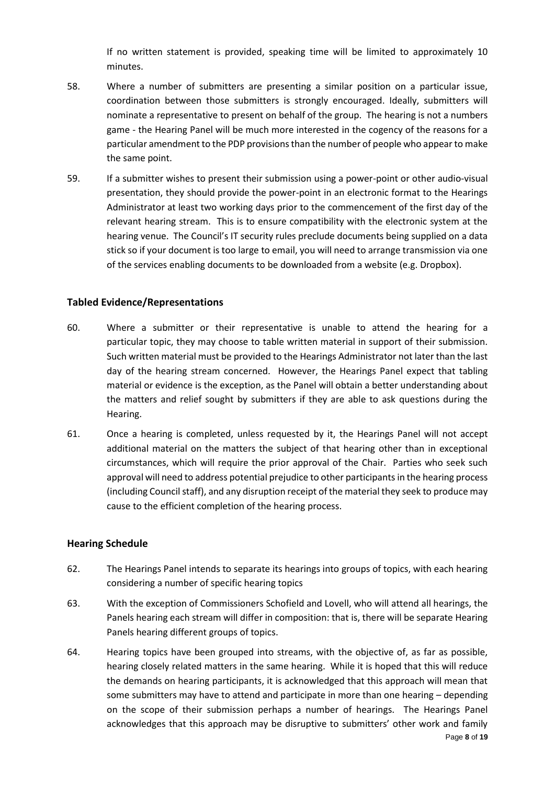If no written statement is provided, speaking time will be limited to approximately 10 minutes.

- 58. Where a number of submitters are presenting a similar position on a particular issue, coordination between those submitters is strongly encouraged. Ideally, submitters will nominate a representative to present on behalf of the group. The hearing is not a numbers game - the Hearing Panel will be much more interested in the cogency of the reasons for a particular amendment to the PDP provisions than the number of people who appear to make the same point.
- 59. If a submitter wishes to present their submission using a power-point or other audio-visual presentation, they should provide the power-point in an electronic format to the Hearings Administrator at least two working days prior to the commencement of the first day of the relevant hearing stream. This is to ensure compatibility with the electronic system at the hearing venue. The Council's IT security rules preclude documents being supplied on a data stick so if your document is too large to email, you will need to arrange transmission via one of the services enabling documents to be downloaded from a website (e.g. Dropbox).

#### <span id="page-9-0"></span>**Tabled Evidence/Representations**

- 60. Where a submitter or their representative is unable to attend the hearing for a particular topic, they may choose to table written material in support of their submission. Such written material must be provided to the Hearings Administrator not later than the last day of the hearing stream concerned. However, the Hearings Panel expect that tabling material or evidence is the exception, as the Panel will obtain a better understanding about the matters and relief sought by submitters if they are able to ask questions during the Hearing.
- 61. Once a hearing is completed, unless requested by it, the Hearings Panel will not accept additional material on the matters the subject of that hearing other than in exceptional circumstances, which will require the prior approval of the Chair. Parties who seek such approval will need to address potential prejudice to other participants in the hearing process (including Council staff), and any disruption receipt of the material they seek to produce may cause to the efficient completion of the hearing process.

#### <span id="page-9-1"></span>**Hearing Schedule**

- 62. The Hearings Panel intends to separate its hearings into groups of topics, with each hearing considering a number of specific hearing topics
- 63. With the exception of Commissioners Schofield and Lovell, who will attend all hearings, the Panels hearing each stream will differ in composition: that is, there will be separate Hearing Panels hearing different groups of topics.
- Page **8** of **19** 64. Hearing topics have been grouped into streams, with the objective of, as far as possible, hearing closely related matters in the same hearing. While it is hoped that this will reduce the demands on hearing participants, it is acknowledged that this approach will mean that some submitters may have to attend and participate in more than one hearing – depending on the scope of their submission perhaps a number of hearings. The Hearings Panel acknowledges that this approach may be disruptive to submitters' other work and family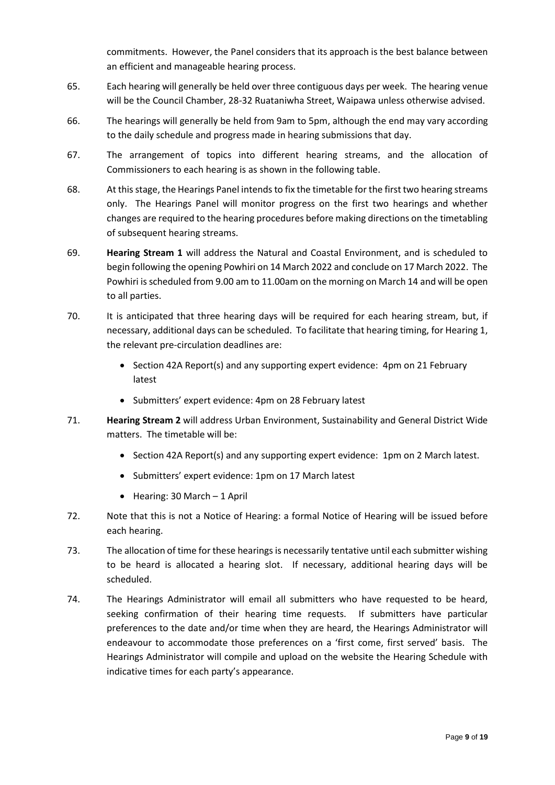commitments. However, the Panel considers that its approach is the best balance between an efficient and manageable hearing process.

- 65. Each hearing will generally be held over three contiguous days per week. The hearing venue will be the Council Chamber, 28-32 Ruataniwha Street, Waipawa unless otherwise advised.
- 66. The hearings will generally be held from 9am to 5pm, although the end may vary according to the daily schedule and progress made in hearing submissions that day.
- 67. The arrangement of topics into different hearing streams, and the allocation of Commissioners to each hearing is as shown in the following table.
- 68. At this stage, the Hearings Panel intends to fix the timetable for the first two hearing streams only. The Hearings Panel will monitor progress on the first two hearings and whether changes are required to the hearing procedures before making directions on the timetabling of subsequent hearing streams.
- 69. **Hearing Stream 1** will address the Natural and Coastal Environment, and is scheduled to begin following the opening Powhiri on 14 March 2022 and conclude on 17 March 2022. The Powhiri is scheduled from 9.00 am to 11.00am on the morning on March 14 and will be open to all parties.
- 70. It is anticipated that three hearing days will be required for each hearing stream, but, if necessary, additional days can be scheduled. To facilitate that hearing timing, for Hearing 1, the relevant pre-circulation deadlines are:
	- Section 42A Report(s) and any supporting expert evidence: 4pm on 21 February latest
	- Submitters' expert evidence: 4pm on 28 February latest
- 71. **Hearing Stream 2** will address Urban Environment, Sustainability and General District Wide matters. The timetable will be:
	- Section 42A Report(s) and any supporting expert evidence: 1pm on 2 March latest.
	- Submitters' expert evidence: 1pm on 17 March latest
	- $\bullet$  Hearing: 30 March 1 April
- 72. Note that this is not a Notice of Hearing: a formal Notice of Hearing will be issued before each hearing.
- 73. The allocation of time for these hearings is necessarily tentative until each submitter wishing to be heard is allocated a hearing slot. If necessary, additional hearing days will be scheduled.
- 74. The Hearings Administrator will email all submitters who have requested to be heard, seeking confirmation of their hearing time requests. If submitters have particular preferences to the date and/or time when they are heard, the Hearings Administrator will endeavour to accommodate those preferences on a 'first come, first served' basis. The Hearings Administrator will compile and upload on the website the Hearing Schedule with indicative times for each party's appearance.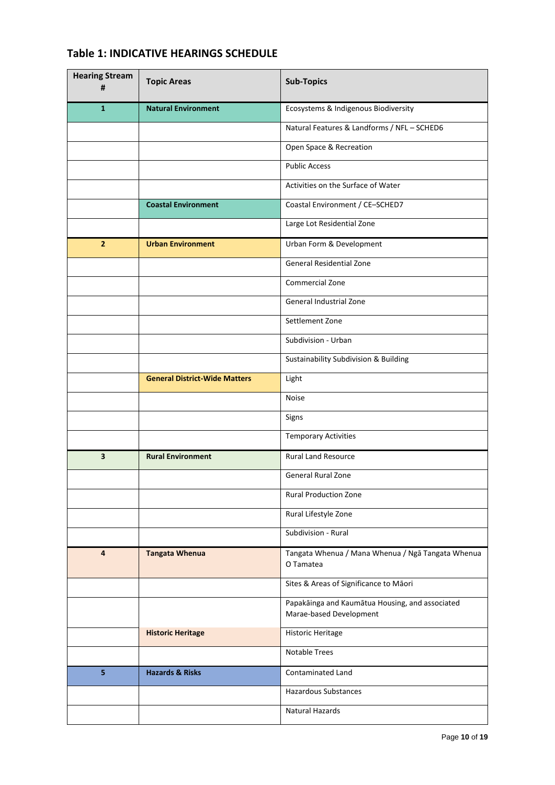| <b>Hearing Stream</b><br># | <b>Topic Areas</b>                   | <b>Sub-Topics</b>                                                          |
|----------------------------|--------------------------------------|----------------------------------------------------------------------------|
| $\mathbf{1}$               | <b>Natural Environment</b>           | Ecosystems & Indigenous Biodiversity                                       |
|                            |                                      | Natural Features & Landforms / NFL - SCHED6                                |
|                            |                                      | Open Space & Recreation                                                    |
|                            |                                      | <b>Public Access</b>                                                       |
|                            |                                      | Activities on the Surface of Water                                         |
|                            | <b>Coastal Environment</b>           | Coastal Environment / CE-SCHED7                                            |
|                            |                                      | Large Lot Residential Zone                                                 |
| $\overline{2}$             | <b>Urban Environment</b>             | Urban Form & Development                                                   |
|                            |                                      | <b>General Residential Zone</b>                                            |
|                            |                                      | Commercial Zone                                                            |
|                            |                                      | General Industrial Zone                                                    |
|                            |                                      | Settlement Zone                                                            |
|                            |                                      | Subdivision - Urban                                                        |
|                            |                                      | Sustainability Subdivision & Building                                      |
|                            | <b>General District-Wide Matters</b> | Light                                                                      |
|                            |                                      | <b>Noise</b>                                                               |
|                            |                                      | Signs                                                                      |
|                            |                                      | <b>Temporary Activities</b>                                                |
| $\overline{\mathbf{3}}$    | <b>Rural Environment</b>             | <b>Rural Land Resource</b>                                                 |
|                            |                                      | General Rural Zone                                                         |
|                            |                                      | <b>Rural Production Zone</b>                                               |
|                            |                                      | Rural Lifestyle Zone                                                       |
|                            |                                      | Subdivision - Rural                                                        |
| 4                          | <b>Tangata Whenua</b>                | Tangata Whenua / Mana Whenua / Ngā Tangata Whenua<br>O Tamatea             |
|                            |                                      | Sites & Areas of Significance to Māori                                     |
|                            |                                      | Papakāinga and Kaumātua Housing, and associated<br>Marae-based Development |
|                            | <b>Historic Heritage</b>             | <b>Historic Heritage</b>                                                   |
|                            |                                      | Notable Trees                                                              |
| 5                          | <b>Hazards &amp; Risks</b>           | Contaminated Land                                                          |
|                            |                                      | Hazardous Substances                                                       |
|                            |                                      | Natural Hazards                                                            |

# **Table 1: INDICATIVE HEARINGS SCHEDULE**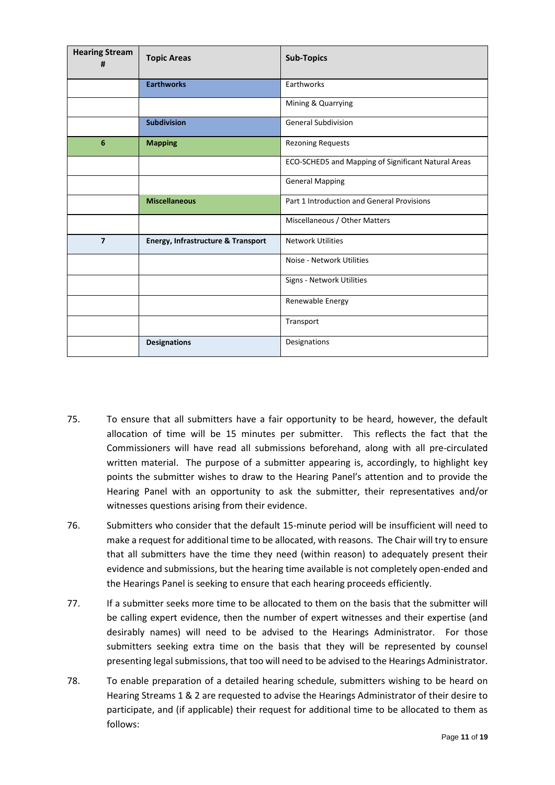| <b>Hearing Stream</b><br># | <b>Topic Areas</b>                 | <b>Sub-Topics</b>                                   |
|----------------------------|------------------------------------|-----------------------------------------------------|
|                            | <b>Earthworks</b>                  | Earthworks                                          |
|                            |                                    | Mining & Quarrying                                  |
|                            | <b>Subdivision</b>                 | <b>General Subdivision</b>                          |
| 6                          | <b>Mapping</b>                     | <b>Rezoning Requests</b>                            |
|                            |                                    | ECO-SCHED5 and Mapping of Significant Natural Areas |
|                            |                                    | <b>General Mapping</b>                              |
|                            | <b>Miscellaneous</b>               | Part 1 Introduction and General Provisions          |
|                            |                                    | Miscellaneous / Other Matters                       |
| $\overline{7}$             | Energy, Infrastructure & Transport | <b>Network Utilities</b>                            |
|                            |                                    | Noise - Network Utilities                           |
|                            |                                    | Signs - Network Utilities                           |
|                            |                                    | Renewable Energy                                    |
|                            |                                    | Transport                                           |
|                            | <b>Designations</b>                | Designations                                        |

- 75. To ensure that all submitters have a fair opportunity to be heard, however, the default allocation of time will be 15 minutes per submitter. This reflects the fact that the Commissioners will have read all submissions beforehand, along with all pre-circulated written material. The purpose of a submitter appearing is, accordingly, to highlight key points the submitter wishes to draw to the Hearing Panel's attention and to provide the Hearing Panel with an opportunity to ask the submitter, their representatives and/or witnesses questions arising from their evidence.
- 76. Submitters who consider that the default 15-minute period will be insufficient will need to make a request for additional time to be allocated, with reasons. The Chair will try to ensure that all submitters have the time they need (within reason) to adequately present their evidence and submissions, but the hearing time available is not completely open-ended and the Hearings Panel is seeking to ensure that each hearing proceeds efficiently.
- 77. If a submitter seeks more time to be allocated to them on the basis that the submitter will be calling expert evidence, then the number of expert witnesses and their expertise (and desirably names) will need to be advised to the Hearings Administrator. For those submitters seeking extra time on the basis that they will be represented by counsel presenting legal submissions, that too will need to be advised to the Hearings Administrator.
- 78. To enable preparation of a detailed hearing schedule, submitters wishing to be heard on Hearing Streams 1 & 2 are requested to advise the Hearings Administrator of their desire to participate, and (if applicable) their request for additional time to be allocated to them as follows: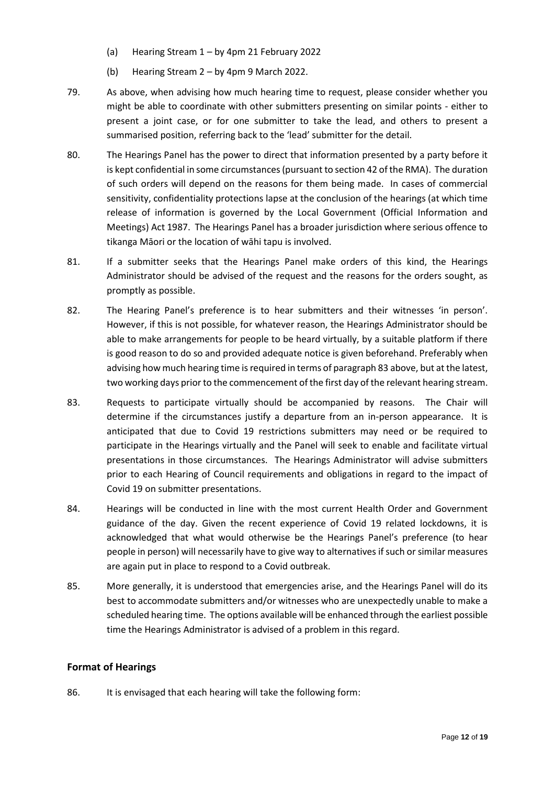- (a) Hearing Stream 1 by 4pm 21 February 2022
- (b) Hearing Stream 2 by 4pm 9 March 2022.
- 79. As above, when advising how much hearing time to request, please consider whether you might be able to coordinate with other submitters presenting on similar points - either to present a joint case, or for one submitter to take the lead, and others to present a summarised position, referring back to the 'lead' submitter for the detail.
- 80. The Hearings Panel has the power to direct that information presented by a party before it is kept confidential in some circumstances (pursuant to section 42 of the RMA). The duration of such orders will depend on the reasons for them being made. In cases of commercial sensitivity, confidentiality protections lapse at the conclusion of the hearings (at which time release of information is governed by the Local Government (Official Information and Meetings) Act 1987. The Hearings Panel has a broader jurisdiction where serious offence to tikanga Māori or the location of wāhi tapu is involved.
- 81. If a submitter seeks that the Hearings Panel make orders of this kind, the Hearings Administrator should be advised of the request and the reasons for the orders sought, as promptly as possible.
- 82. The Hearing Panel's preference is to hear submitters and their witnesses 'in person'. However, if this is not possible, for whatever reason, the Hearings Administrator should be able to make arrangements for people to be heard virtually, by a suitable platform if there is good reason to do so and provided adequate notice is given beforehand. Preferably when advising how much hearing time is required in terms of paragraph 83 above, but at the latest, two working days prior to the commencement of the first day of the relevant hearing stream.
- 83. Requests to participate virtually should be accompanied by reasons. The Chair will determine if the circumstances justify a departure from an in-person appearance. It is anticipated that due to Covid 19 restrictions submitters may need or be required to participate in the Hearings virtually and the Panel will seek to enable and facilitate virtual presentations in those circumstances. The Hearings Administrator will advise submitters prior to each Hearing of Council requirements and obligations in regard to the impact of Covid 19 on submitter presentations.
- 84. Hearings will be conducted in line with the most current Health Order and Government guidance of the day. Given the recent experience of Covid 19 related lockdowns, it is acknowledged that what would otherwise be the Hearings Panel's preference (to hear people in person) will necessarily have to give way to alternatives if such or similar measures are again put in place to respond to a Covid outbreak.
- 85. More generally, it is understood that emergencies arise, and the Hearings Panel will do its best to accommodate submitters and/or witnesses who are unexpectedly unable to make a scheduled hearing time. The options available will be enhanced through the earliest possible time the Hearings Administrator is advised of a problem in this regard.

## <span id="page-13-0"></span>**Format of Hearings**

86. It is envisaged that each hearing will take the following form: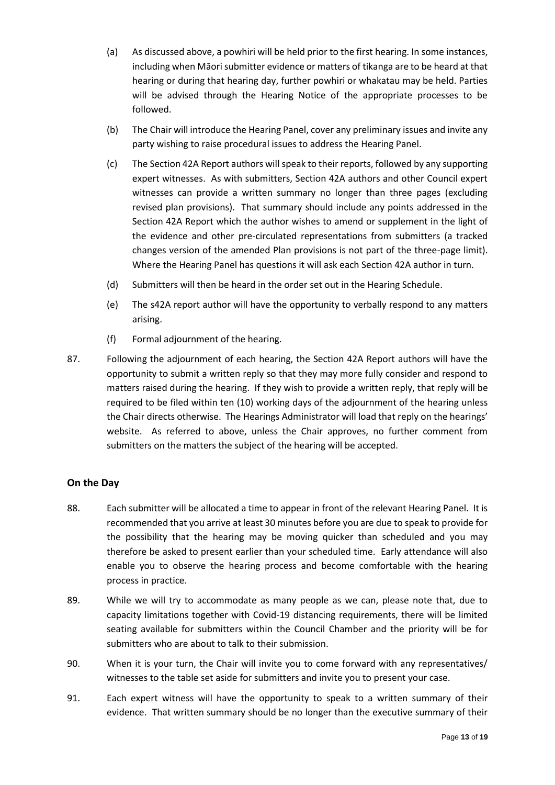- (a) As discussed above, a powhiri will be held prior to the first hearing. In some instances, including when Māori submitter evidence or matters of tikanga are to be heard at that hearing or during that hearing day, further powhiri or whakatau may be held. Parties will be advised through the Hearing Notice of the appropriate processes to be followed.
- (b) The Chair will introduce the Hearing Panel, cover any preliminary issues and invite any party wishing to raise procedural issues to address the Hearing Panel.
- (c) The Section 42A Report authors will speak to their reports, followed by any supporting expert witnesses. As with submitters, Section 42A authors and other Council expert witnesses can provide a written summary no longer than three pages (excluding revised plan provisions). That summary should include any points addressed in the Section 42A Report which the author wishes to amend or supplement in the light of the evidence and other pre-circulated representations from submitters (a tracked changes version of the amended Plan provisions is not part of the three-page limit). Where the Hearing Panel has questions it will ask each Section 42A author in turn.
- (d) Submitters will then be heard in the order set out in the Hearing Schedule.
- (e) The s42A report author will have the opportunity to verbally respond to any matters arising.
- (f) Formal adjournment of the hearing.
- 87. Following the adjournment of each hearing, the Section 42A Report authors will have the opportunity to submit a written reply so that they may more fully consider and respond to matters raised during the hearing. If they wish to provide a written reply, that reply will be required to be filed within ten (10) working days of the adjournment of the hearing unless the Chair directs otherwise. The Hearings Administrator will load that reply on the hearings' website. As referred to above, unless the Chair approves, no further comment from submitters on the matters the subject of the hearing will be accepted.

## <span id="page-14-0"></span>**On the Day**

- 88. Each submitter will be allocated a time to appear in front of the relevant Hearing Panel. It is recommended that you arrive at least 30 minutes before you are due to speak to provide for the possibility that the hearing may be moving quicker than scheduled and you may therefore be asked to present earlier than your scheduled time. Early attendance will also enable you to observe the hearing process and become comfortable with the hearing process in practice.
- 89. While we will try to accommodate as many people as we can, please note that, due to capacity limitations together with Covid-19 distancing requirements, there will be limited seating available for submitters within the Council Chamber and the priority will be for submitters who are about to talk to their submission.
- 90. When it is your turn, the Chair will invite you to come forward with any representatives/ witnesses to the table set aside for submitters and invite you to present your case.
- 91. Each expert witness will have the opportunity to speak to a written summary of their evidence. That written summary should be no longer than the executive summary of their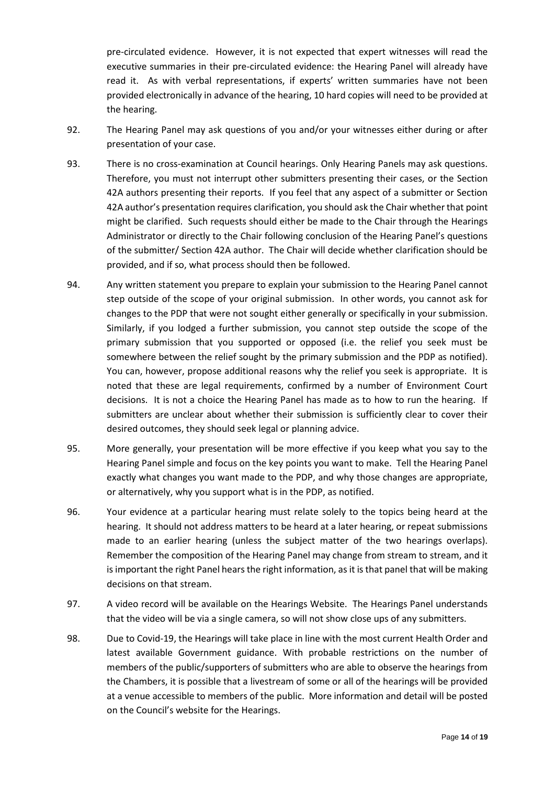pre-circulated evidence. However, it is not expected that expert witnesses will read the executive summaries in their pre-circulated evidence: the Hearing Panel will already have read it. As with verbal representations, if experts' written summaries have not been provided electronically in advance of the hearing, 10 hard copies will need to be provided at the hearing.

- 92. The Hearing Panel may ask questions of you and/or your witnesses either during or after presentation of your case.
- 93. There is no cross-examination at Council hearings. Only Hearing Panels may ask questions. Therefore, you must not interrupt other submitters presenting their cases, or the Section 42A authors presenting their reports. If you feel that any aspect of a submitter or Section 42A author's presentation requires clarification, you should ask the Chair whether that point might be clarified. Such requests should either be made to the Chair through the Hearings Administrator or directly to the Chair following conclusion of the Hearing Panel's questions of the submitter/ Section 42A author. The Chair will decide whether clarification should be provided, and if so, what process should then be followed.
- 94. Any written statement you prepare to explain your submission to the Hearing Panel cannot step outside of the scope of your original submission. In other words, you cannot ask for changes to the PDP that were not sought either generally or specifically in your submission. Similarly, if you lodged a further submission, you cannot step outside the scope of the primary submission that you supported or opposed (i.e. the relief you seek must be somewhere between the relief sought by the primary submission and the PDP as notified). You can, however, propose additional reasons why the relief you seek is appropriate. It is noted that these are legal requirements, confirmed by a number of Environment Court decisions. It is not a choice the Hearing Panel has made as to how to run the hearing. If submitters are unclear about whether their submission is sufficiently clear to cover their desired outcomes, they should seek legal or planning advice.
- 95. More generally, your presentation will be more effective if you keep what you say to the Hearing Panel simple and focus on the key points you want to make. Tell the Hearing Panel exactly what changes you want made to the PDP, and why those changes are appropriate, or alternatively, why you support what is in the PDP, as notified.
- 96. Your evidence at a particular hearing must relate solely to the topics being heard at the hearing. It should not address matters to be heard at a later hearing, or repeat submissions made to an earlier hearing (unless the subject matter of the two hearings overlaps). Remember the composition of the Hearing Panel may change from stream to stream, and it is important the right Panel hears the right information, as it is that panel that will be making decisions on that stream.
- 97. A video record will be available on the Hearings Website. The Hearings Panel understands that the video will be via a single camera, so will not show close ups of any submitters.
- 98. Due to Covid-19, the Hearings will take place in line with the most current Health Order and latest available Government guidance. With probable restrictions on the number of members of the public/supporters of submitters who are able to observe the hearings from the Chambers, it is possible that a livestream of some or all of the hearings will be provided at a venue accessible to members of the public. More information and detail will be posted on the Council's website for the Hearings.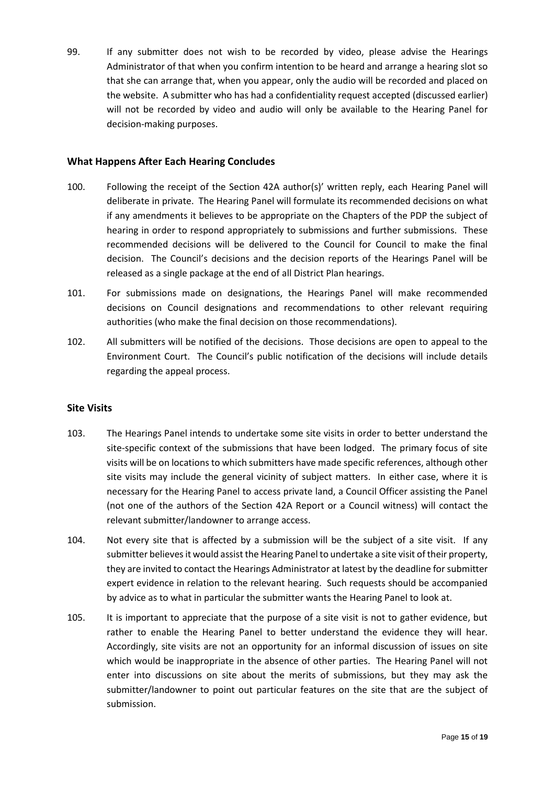99. If any submitter does not wish to be recorded by video, please advise the Hearings Administrator of that when you confirm intention to be heard and arrange a hearing slot so that she can arrange that, when you appear, only the audio will be recorded and placed on the website. A submitter who has had a confidentiality request accepted (discussed earlier) will not be recorded by video and audio will only be available to the Hearing Panel for decision-making purposes.

#### <span id="page-16-0"></span>**What Happens After Each Hearing Concludes**

- 100. Following the receipt of the Section 42A author(s)' written reply, each Hearing Panel will deliberate in private. The Hearing Panel will formulate its recommended decisions on what if any amendments it believes to be appropriate on the Chapters of the PDP the subject of hearing in order to respond appropriately to submissions and further submissions. These recommended decisions will be delivered to the Council for Council to make the final decision. The Council's decisions and the decision reports of the Hearings Panel will be released as a single package at the end of all District Plan hearings.
- 101. For submissions made on designations, the Hearings Panel will make recommended decisions on Council designations and recommendations to other relevant requiring authorities (who make the final decision on those recommendations).
- 102. All submitters will be notified of the decisions. Those decisions are open to appeal to the Environment Court. The Council's public notification of the decisions will include details regarding the appeal process.

## <span id="page-16-1"></span>**Site Visits**

- 103. The Hearings Panel intends to undertake some site visits in order to better understand the site-specific context of the submissions that have been lodged. The primary focus of site visits will be on locations to which submitters have made specific references, although other site visits may include the general vicinity of subject matters. In either case, where it is necessary for the Hearing Panel to access private land, a Council Officer assisting the Panel (not one of the authors of the Section 42A Report or a Council witness) will contact the relevant submitter/landowner to arrange access.
- 104. Not every site that is affected by a submission will be the subject of a site visit. If any submitter believes it would assist the Hearing Panel to undertake a site visit of their property, they are invited to contact the Hearings Administrator at latest by the deadline for submitter expert evidence in relation to the relevant hearing. Such requests should be accompanied by advice as to what in particular the submitter wants the Hearing Panel to look at.
- 105. It is important to appreciate that the purpose of a site visit is not to gather evidence, but rather to enable the Hearing Panel to better understand the evidence they will hear. Accordingly, site visits are not an opportunity for an informal discussion of issues on site which would be inappropriate in the absence of other parties. The Hearing Panel will not enter into discussions on site about the merits of submissions, but they may ask the submitter/landowner to point out particular features on the site that are the subject of submission.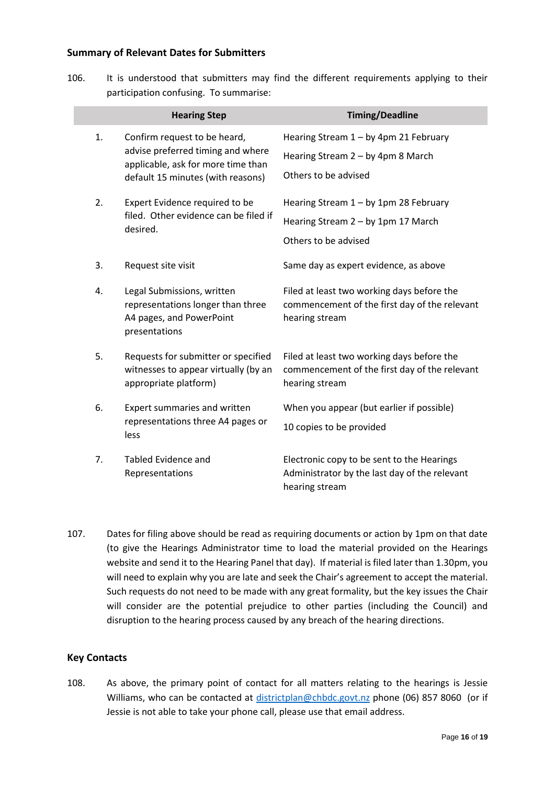#### <span id="page-17-0"></span>**Summary of Relevant Dates for Submitters**

106. It is understood that submitters may find the different requirements applying to their participation confusing. To summarise:

|    | <b>Hearing Step</b>                                                                                                                          | <b>Timing/Deadline</b>                                                                                        |
|----|----------------------------------------------------------------------------------------------------------------------------------------------|---------------------------------------------------------------------------------------------------------------|
| 1. | Confirm request to be heard,<br>advise preferred timing and where<br>applicable, ask for more time than<br>default 15 minutes (with reasons) | Hearing Stream 1 - by 4pm 21 February<br>Hearing Stream 2 - by 4pm 8 March<br>Others to be advised            |
| 2. | Expert Evidence required to be<br>filed. Other evidence can be filed if<br>desired.                                                          | Hearing Stream 1 - by 1pm 28 February<br>Hearing Stream 2 - by 1pm 17 March<br>Others to be advised           |
| 3. | Request site visit                                                                                                                           | Same day as expert evidence, as above                                                                         |
| 4. | Legal Submissions, written<br>representations longer than three<br>A4 pages, and PowerPoint<br>presentations                                 | Filed at least two working days before the<br>commencement of the first day of the relevant<br>hearing stream |
| 5. | Requests for submitter or specified<br>witnesses to appear virtually (by an<br>appropriate platform)                                         | Filed at least two working days before the<br>commencement of the first day of the relevant<br>hearing stream |
| 6. | Expert summaries and written<br>representations three A4 pages or<br>less                                                                    | When you appear (but earlier if possible)<br>10 copies to be provided                                         |
| 7. | Tabled Evidence and<br>Representations                                                                                                       | Electronic copy to be sent to the Hearings<br>Administrator by the last day of the relevant<br>hearing stream |

107. Dates for filing above should be read as requiring documents or action by 1pm on that date (to give the Hearings Administrator time to load the material provided on the Hearings website and send it to the Hearing Panel that day). If material is filed later than 1.30pm, you will need to explain why you are late and seek the Chair's agreement to accept the material. Such requests do not need to be made with any great formality, but the key issues the Chair will consider are the potential prejudice to other parties (including the Council) and disruption to the hearing process caused by any breach of the hearing directions.

## <span id="page-17-1"></span>**Key Contacts**

108. As above, the primary point of contact for all matters relating to the hearings is Jessie Williams, who can be contacted at [districtplan@chbdc.govt.nz](mailto:districtplan@chbdc.govt.nz) phone (06) 857 8060 (or if Jessie is not able to take your phone call, please use that email address.